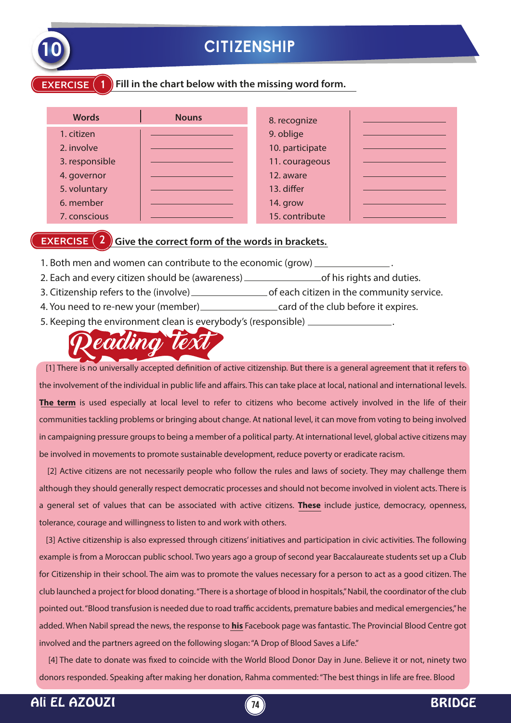

## **10 CITIZENSHIP**

#### **EXERCISE** (1) Fill in the chart below with the missing word form.

| <b>Words</b>   | <b>Nouns</b> | 8. recognize    |  |
|----------------|--------------|-----------------|--|
| 1. citizen     |              | 9. oblige       |  |
| 2. involve     |              | 10. participate |  |
| 3. responsible |              | 11. courageous  |  |
| 4. governor    |              | 12. aware       |  |
| 5. voluntary   |              | 13. differ      |  |
| 6. member      |              | 14. grow        |  |
| 7. conscious   |              | 15. contribute  |  |

#### **EXERCISE (2)** Give the correct form of the words in brackets.

- 1. Both men and women can contribute to the economic (grow)  $\equiv$
- 2. Each and every citizen should be (awareness) \_\_\_\_\_\_\_\_\_\_\_\_\_\_\_\_\_\_\_\_\_\_\_of his rights and duties.
- 3. Citizenship refers to the (involve) \_\_\_\_\_\_\_\_\_\_\_\_\_\_\_\_\_\_\_\_\_\_\_of each citizen in the community service.
- 4. You need to re-new your (member)\_\_\_\_\_\_\_\_\_\_\_\_\_\_\_\_\_\_\_\_\_\_\_\_\_card of the club before it expires.
- 5. Keeping the environment clean is everybody's (responsible) .

# eading tex

[1] There is no universally accepted definition of active citizenship. But there is a general agreement that it refers to the involvement of the individual in public life and affairs. This can take place at local, national and international levels. **The term** is used especially at local level to refer to citizens who become actively involved in the life of their communities tackling problems or bringing about change. At national level, it can move from voting to being involved in campaigning pressure groups to being a member of a political party. At international level, global active citizens may be involved in movements to promote sustainable development, reduce poverty or eradicate racism.

[2] Active citizens are not necessarily people who follow the rules and laws of society. They may challenge them although they should generally respect democratic processes and should not become involved in violent acts. There is a general set of values that can be associated with active citizens. **These** include justice, democracy, openness, tolerance, courage and willingness to listen to and work with others.

 [3] Active citizenship is also expressed through citizens' initiatives and participation in civic activities. The following example is from a Moroccan public school. Two years ago a group of second year Baccalaureate students set up a Club for Citizenship in their school. The aim was to promote the values necessary for a person to act as a good citizen. The club launched a project for blood donating. "There is a shortage of blood in hospitals," Nabil, the coordinator of the club pointed out. "Blood transfusion is needed due to road traffic accidents, premature babies and medical emergencies," he added. When Nabil spread the news, the response to **his** Facebook page was fantastic. The Provincial Blood Centre got involved and the partners agreed on the following slogan: "A Drop of Blood Saves a Life."

[4] The date to donate was fixed to coincide with the World Blood Donor Day in June. Believe it or not, ninety two donors responded. Speaking after making her donation, Rahma commented: "The best things in life are free. Blood

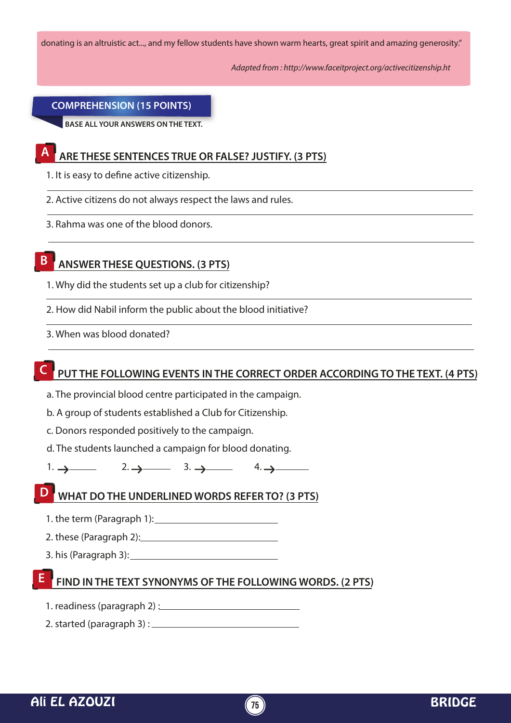donating is an altruistic act..., and my fellow students have shown warm hearts, great spirit and amazing generosity."

*Adapted from : http://www.faceitproject.org/activecitizenship.ht*

#### **COMPREHENSION (15 POINTS)**

**BASE ALL YOUR ANSWERS ON THE TEXT.**

## **A ARE THESE SENTENCES TRUE OR FALSE? JUSTIFY. (3 PTS)**

- 1. It is easy to define active citizenship.
- 2. Active citizens do not always respect the laws and rules.
- 3. Rahma was one of the blood donors.

## **B ANSWER THESE QUESTIONS. (3 PTS)**

- 1. Why did the students set up a club for citizenship?
- 2. How did Nabil inform the public about the blood initiative?
- 3. When was blood donated?

#### PUT THE FOLLOWING EVENTS IN THE CORRECT ORDER ACCORDING TO THE TEXT. (4 PTS)

- a. The provincial blood centre participated in the campaign.
- b. A group of students established a Club for Citizenship.
- c. Donors responded positively to the campaign.
- d. The students launched a campaign for blood donating.
- 1.  $\rightarrow$  2.  $\rightarrow$  3.  $\rightarrow$  4.  $\rightarrow$

#### **D WHAT DO THE UNDERLINED WORDS REFER TO? (3 PTS)**

- 1. the term (Paragraph 1):
- 2. these (Paragraph 2):
- 3. his (Paragraph 3):

## **FIND IN THE TEXT SYNONYMS OF THE FOLLOWING WORDS. (2 PTS) E**

- 1. readiness (paragraph 2) :
- 2. started (paragraph 3) :